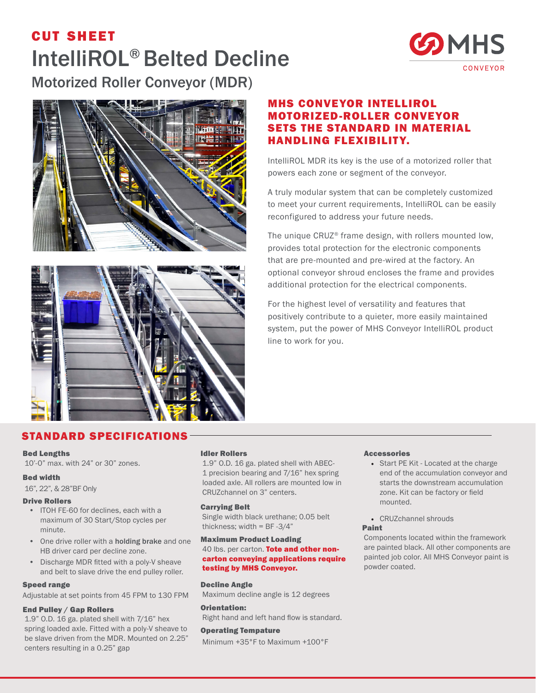# cut sheet IntelliROL® Belted Decline Motorized Roller Conveyor (MDR)





### MHS CONVEYOR INTELLIROL MOTORIZED-ROLLER CONVEYOR SETS THE STANDARD IN MATERIAL HANDLING FLEXIBILITY.

IntelliROL MDR its key is the use of a motorized roller that powers each zone or segment of the conveyor.

A truly modular system that can be completely customized to meet your current requirements, IntelliROL can be easily reconfigured to address your future needs.

The unique CRUZ® frame design, with rollers mounted low, provides total protection for the electronic components that are pre-mounted and pre-wired at the factory. An optional conveyor shroud encloses the frame and provides additional protection for the electrical components.

For the highest level of versatility and features that positively contribute to a quieter, more easily maintained system, put the power of MHS Conveyor IntelliROL product line to work for you.



## STANDARD SPECIFICATIONS

#### Bed Lengths

10'-0" max. with 24" or 30" zones.

#### Bed width

16", 22", & 28"BF Only

#### Drive Rollers

- ITOH FE-60 for declines, each with a maximum of 30 Start/Stop cycles per minute.
- One drive roller with a holding brake and one HB driver card per decline zone.
- Discharge MDR fitted with a poly-V sheave and belt to slave drive the end pulley roller.

#### Speed range

Adjustable at set points from 45 FPM to 130 FPM

#### End Pulley / Gap Rollers

1.9" O.D. 16 ga. plated shell with 7/16" hex spring loaded axle. Fitted with a poly-V sheave to be slave driven from the MDR. Mounted on 2.25" centers resulting in a 0.25" gap

#### Idler Rollers

1.9" O.D. 16 ga. plated shell with ABEC-1 precision bearing and 7/16" hex spring loaded axle. All rollers are mounted low in CRUZchannel on 3" centers.

#### Carrying Belt

Single width black urethane; 0.05 belt thickness: width =  $BF -3/4"$ 

#### Maximum Product Loading 40 lbs. per carton. Tote and other noncarton conveying applications require testing by MHS Conveyor.

Decline Angle

Maximum decline angle is 12 degrees

#### Right hand and left hand flow is standard. Operating Tempature

Orientation:

Minimum +35°F to Maximum +100°F

#### **Accessories**

- Start PE Kit Located at the charge end of the accumulation conveyor and starts the downstream accumulation zone. Kit can be factory or field mounted.
- CRUZchannel shrouds

#### Paint

Components located within the framework are painted black. All other components are painted job color. All MHS Conveyor paint is powder coated.